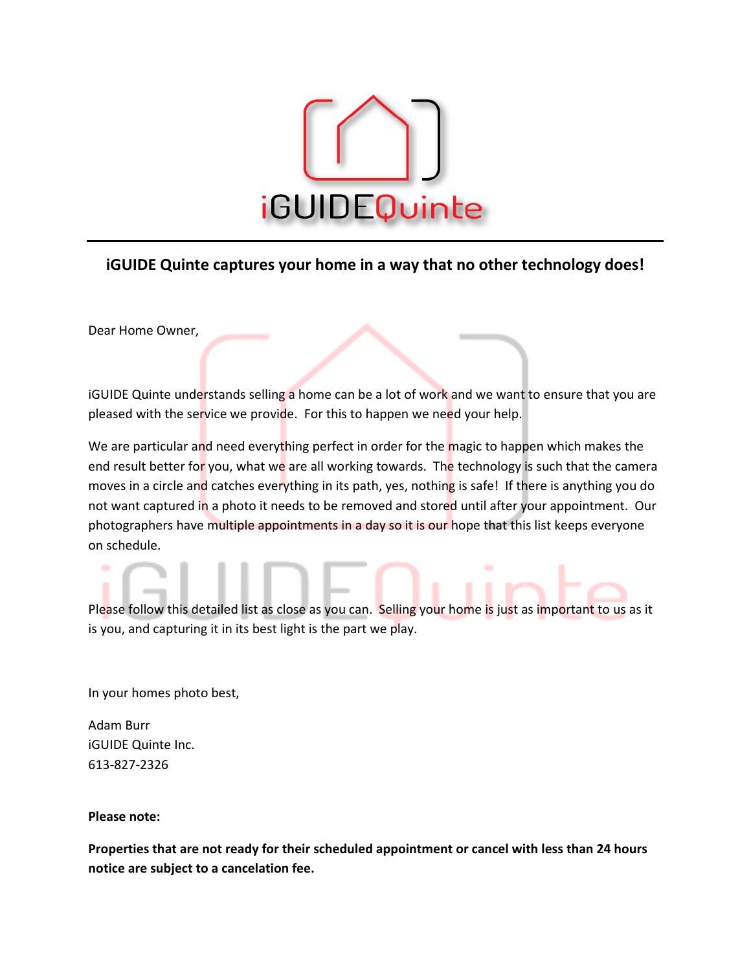

## **iGUIDE Quinte captures your home in a way that no other technology does!**

Dear Home Owner,

iGUIDE Quinte understands selling a home can be a lot of work and we want to ensure that you are pleased with the service we provide. For this to happen we need your help.

We are particular and need everything perfect in order for the magic to happen which makes the end result better for you, what we are all working towards. The technology is such that the camera moves in a circle and catches everything in its path, yes, nothing is safe! If there is anything you do not want captured in a photo it needs to be removed and stored until after your appointment. Our photographers have multiple appointments in a day so it is our hope that this list keeps everyone on schedule.

Please follow this detailed list as close as you can. Selling your home is just as important to us as it is you, and capturing it in its best light is the part we play.

In your homes photo best,

Adam Burr iGUIDE Quinte Inc. 613-827-2326

**Please note:**

**Properties that are not ready for their scheduled appointment or cancel with less than 24 hours notice are subject to a cancelation fee.**